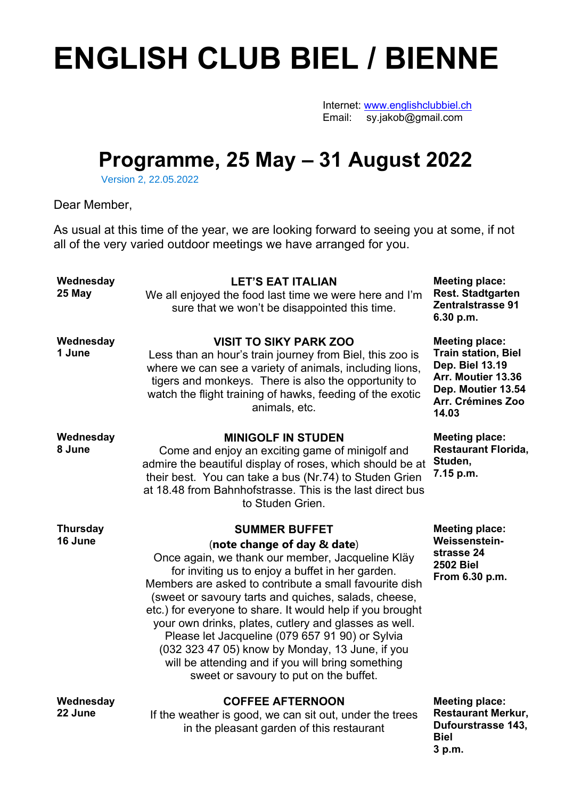## **ENGLISH CLUB BIEL / BIENNE**

Internet: www.englishclubbiel.ch Email: sy.jakob@gmail.com

## **Programme, 25 May – 31 August 2022**

Version 2, 22.05.2022

Dear Member,

As usual at this time of the year, we are looking forward to seeing you at some, if not all of the very varied outdoor meetings we have arranged for you.

| Wednesday<br>25 May        | <b>LET'S EAT ITALIAN</b><br>We all enjoyed the food last time we were here and I'm<br>sure that we won't be disappointed this time.                                                                                                                                                                                                                                                                                                                                                                                                                                                                      | <b>Meeting place:</b><br><b>Rest. Stadtgarten</b><br><b>Zentralstrasse 91</b><br>6.30 p.m.                                                       |
|----------------------------|----------------------------------------------------------------------------------------------------------------------------------------------------------------------------------------------------------------------------------------------------------------------------------------------------------------------------------------------------------------------------------------------------------------------------------------------------------------------------------------------------------------------------------------------------------------------------------------------------------|--------------------------------------------------------------------------------------------------------------------------------------------------|
| Wednesday<br>1 June        | <b>VISIT TO SIKY PARK ZOO</b><br>Less than an hour's train journey from Biel, this zoo is<br>where we can see a variety of animals, including lions,<br>tigers and monkeys. There is also the opportunity to<br>watch the flight training of hawks, feeding of the exotic<br>animals, etc.                                                                                                                                                                                                                                                                                                               | <b>Meeting place:</b><br><b>Train station, Biel</b><br>Dep. Biel 13.19<br>Arr. Moutier 13.36<br>Dep. Moutier 13.54<br>Arr. Crémines Zoo<br>14.03 |
| Wednesday<br>8 June        | <b>MINIGOLF IN STUDEN</b><br>Come and enjoy an exciting game of minigolf and<br>admire the beautiful display of roses, which should be at<br>their best. You can take a bus (Nr.74) to Studen Grien<br>at 18.48 from Bahnhofstrasse. This is the last direct bus<br>to Studen Grien.                                                                                                                                                                                                                                                                                                                     | <b>Meeting place:</b><br><b>Restaurant Florida,</b><br>Studen,<br>7.15 p.m.                                                                      |
|                            |                                                                                                                                                                                                                                                                                                                                                                                                                                                                                                                                                                                                          |                                                                                                                                                  |
| <b>Thursday</b><br>16 June | <b>SUMMER BUFFET</b><br>(note change of day & date)<br>Once again, we thank our member, Jacqueline Kläy<br>for inviting us to enjoy a buffet in her garden.<br>Members are asked to contribute a small favourite dish<br>(sweet or savoury tarts and quiches, salads, cheese,<br>etc.) for everyone to share. It would help if you brought<br>your own drinks, plates, cutlery and glasses as well.<br>Please let Jacqueline (079 657 91 90) or Sylvia<br>(032 323 47 05) know by Monday, 13 June, if you<br>will be attending and if you will bring something<br>sweet or savoury to put on the buffet. | <b>Meeting place:</b><br>Weissenstein-<br>strasse 24<br><b>2502 Biel</b><br>From 6.30 p.m.                                                       |